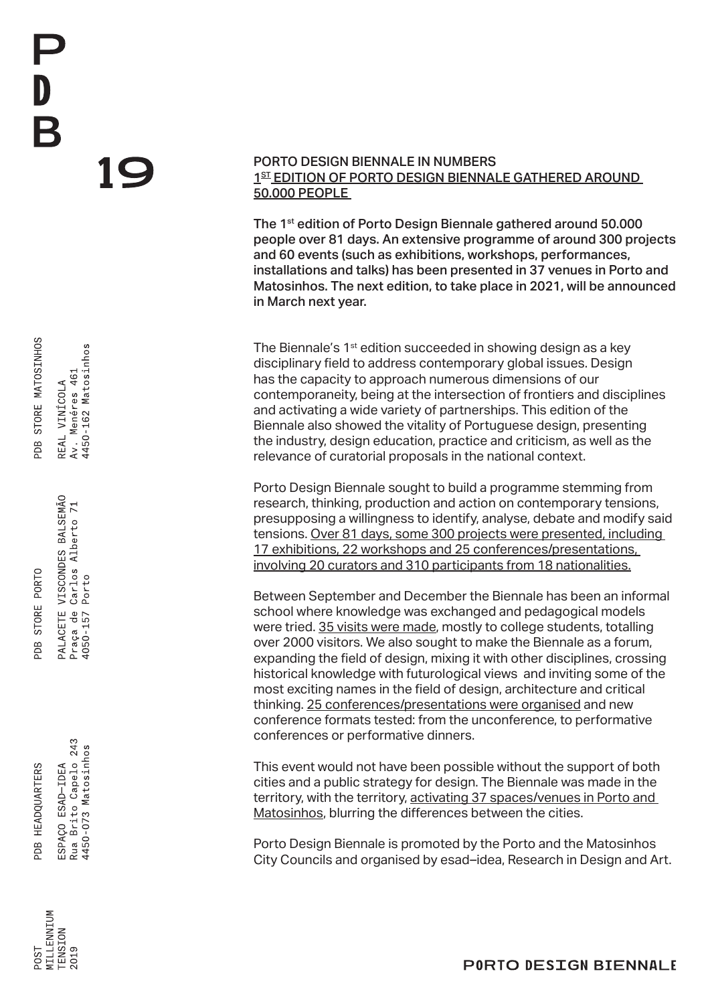PDB STORE MATOSINHOS REAL VINÍCOLA

4450-162 Matosinhos Av. Menéres 461

PALACETE VISCONDES BALSEMÃO PDB STORE PORTO

Praça de Carlos Alberto 71

4050-157 Porto

Rua Brito Capelo 243 4450-073 Matosinhos PDB HEADQUARTERS ESPAÇO ESAD-IDEA

**AILLENNIUM ENSION** 2019  $780c$ 

## PORTO DESIGN BIENNALE IN NUMBERS 1<sup>ST</sup> EDITION OF PORTO DESIGN BIENNALE GATHERED AROUND 50.000 PEOPLE

The 1<sup>st</sup> edition of Porto Design Biennale gathered around 50.000 people over 81 days. An extensive programme of around 300 projects and 60 events (such as exhibitions, workshops, performances, installations and talks) has been presented in 37 venues in Porto and Matosinhos. The next edition, to take place in 2021, will be announced in March next year.

The Biennale's 1<sup>st</sup> edition succeeded in showing design as a key disciplinary field to address contemporary global issues. Design has the capacity to approach numerous dimensions of our contemporaneity, being at the intersection of frontiers and disciplines and activating a wide variety of partnerships. This edition of the Biennale also showed the vitality of Portuguese design, presenting the industry, design education, practice and criticism, as well as the relevance of curatorial proposals in the national context.

Porto Design Biennale sought to build a programme stemming from research, thinking, production and action on contemporary tensions, presupposing a willingness to identify, analyse, debate and modify said tensions. Over 81 days, some 300 projects were presented, including 17 exhibitions, 22 workshops and 25 conferences/presentations, involving 20 curators and 310 participants from 18 nationalities.

Between September and December the Biennale has been an informal school where knowledge was exchanged and pedagogical models were tried. 35 visits were made, mostly to college students, totalling over 2000 visitors. We also sought to make the Biennale as a forum, expanding the field of design, mixing it with other disciplines, crossing historical knowledge with futurological views and inviting some of the most exciting names in the field of design, architecture and critical thinking. 25 conferences/presentations were organised and new conference formats tested: from the unconference, to performative conferences or performative dinners.

This event would not have been possible without the support of both cities and a public strategy for design. The Biennale was made in the territory, with the territory, activating 37 spaces/venues in Porto and Matosinhos, blurring the differences between the cities.

Porto Design Biennale is promoted by the Porto and the Matosinhos City Councils and organised by esad–idea, Research in Design and Art.